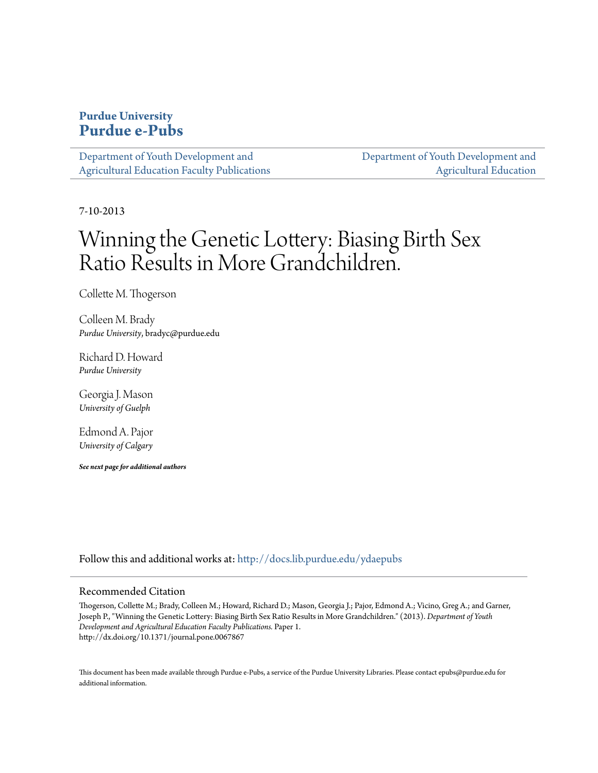### **Purdue University [Purdue e-Pubs](http://docs.lib.purdue.edu?utm_source=docs.lib.purdue.edu%2Fydaepubs%2F1&utm_medium=PDF&utm_campaign=PDFCoverPages)**

| Department of Youth Development and                | Department of Youth Development and |
|----------------------------------------------------|-------------------------------------|
| <b>Agricultural Education Faculty Publications</b> | <b>Agricultural Education</b>       |

7-10-2013

# Winning the Genetic Lottery: Biasing Birth Sex Ratio Results in More Grandchildren.

Collette M. Thogerson

Colleen M. Brady *Purdue University*, bradyc@purdue.edu

Richard D. Howard *Purdue University*

Georgia J. Mason *University of Guelph*

Edmond A. Pajor *University of Calgary*

*See next page for additional authors*

Follow this and additional works at: [http://docs.lib.purdue.edu/ydaepubs](http://docs.lib.purdue.edu/ydaepubs?utm_source=docs.lib.purdue.edu%2Fydaepubs%2F1&utm_medium=PDF&utm_campaign=PDFCoverPages)

#### Recommended Citation

Thogerson, Collette M.; Brady, Colleen M.; Howard, Richard D.; Mason, Georgia J.; Pajor, Edmond A.; Vicino, Greg A.; and Garner, Joseph P., "Winning the Genetic Lottery: Biasing Birth Sex Ratio Results in More Grandchildren." (2013). *Department of Youth Development and Agricultural Education Faculty Publications.* Paper 1. http://dx.doi.org/10.1371/journal.pone.0067867

This document has been made available through Purdue e-Pubs, a service of the Purdue University Libraries. Please contact epubs@purdue.edu for additional information.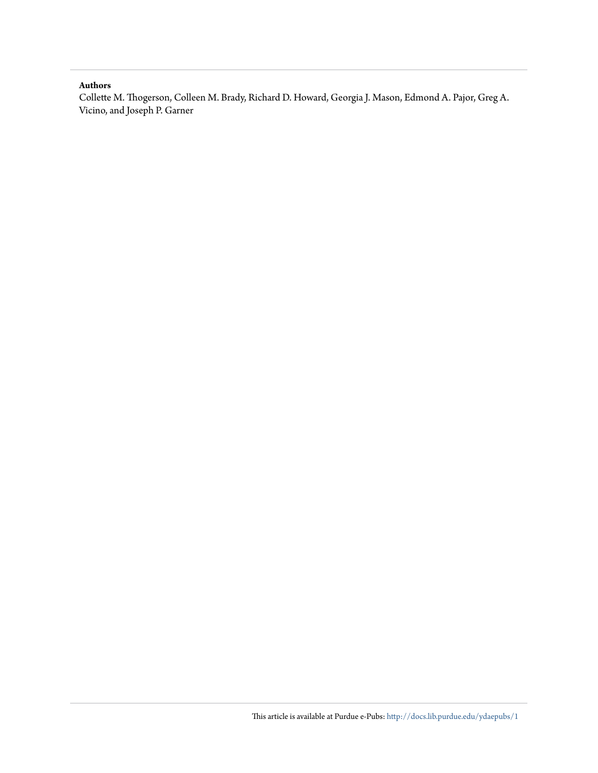#### **Authors**

Collette M. Thogerson, Colleen M. Brady, Richard D. Howard, Georgia J. Mason, Edmond A. Pajor, Greg A. Vicino, and Joseph P. Garner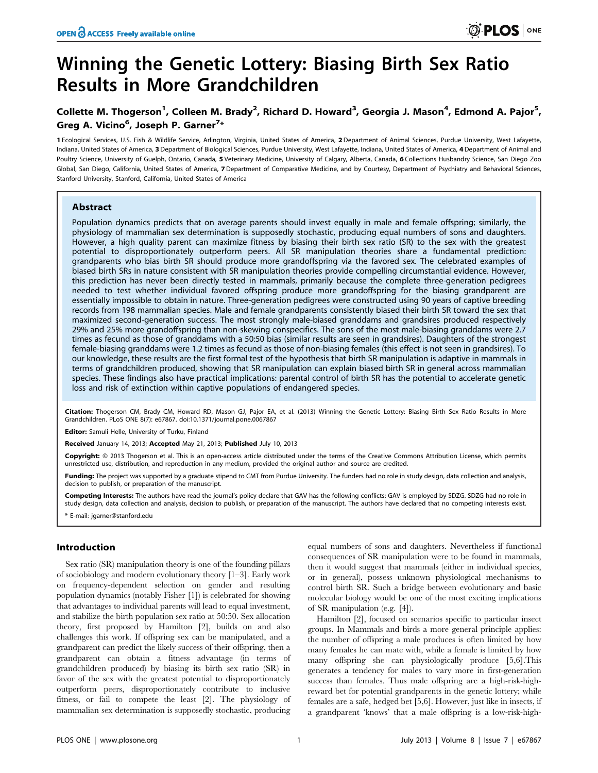## Winning the Genetic Lottery: Biasing Birth Sex Ratio Results in More Grandchildren

#### Collette M. Thogerson<sup>1</sup>, Colleen M. Brady<sup>2</sup>, Richard D. Howard<sup>3</sup>, Georgia J. Mason<sup>4</sup>, Edmond A. Pajor<sup>5</sup>, Greg A. Vicino $^6$ , Joseph P. Garner $^{7*}$

1 Ecological Services, U.S. Fish & Wildlife Service, Arlington, Virginia, United States of America, 2 Department of Animal Sciences, Purdue University, West Lafayette, Indiana, United States of America, 3Department of Biological Sciences, Purdue University, West Lafayette, Indiana, United States of America, 4Department of Animal and Poultry Science, University of Guelph, Ontario, Canada, 5 Veterinary Medicine, University of Calgary, Alberta, Canada, 6 Collections Husbandry Science, San Diego Zoo Global, San Diego, California, United States of America, 7 Department of Comparative Medicine, and by Courtesy, Department of Psychiatry and Behavioral Sciences, Stanford University, Stanford, California, United States of America

#### Abstract

Population dynamics predicts that on average parents should invest equally in male and female offspring; similarly, the physiology of mammalian sex determination is supposedly stochastic, producing equal numbers of sons and daughters. However, a high quality parent can maximize fitness by biasing their birth sex ratio (SR) to the sex with the greatest potential to disproportionately outperform peers. All SR manipulation theories share a fundamental prediction: grandparents who bias birth SR should produce more grandoffspring via the favored sex. The celebrated examples of biased birth SRs in nature consistent with SR manipulation theories provide compelling circumstantial evidence. However, this prediction has never been directly tested in mammals, primarily because the complete three-generation pedigrees needed to test whether individual favored offspring produce more grandoffspring for the biasing grandparent are essentially impossible to obtain in nature. Three-generation pedigrees were constructed using 90 years of captive breeding records from 198 mammalian species. Male and female grandparents consistently biased their birth SR toward the sex that maximized second-generation success. The most strongly male-biased granddams and grandsires produced respectively 29% and 25% more grandoffspring than non-skewing conspecifics. The sons of the most male-biasing granddams were 2.7 times as fecund as those of granddams with a 50:50 bias (similar results are seen in grandsires). Daughters of the strongest female-biasing granddams were 1.2 times as fecund as those of non-biasing females (this effect is not seen in grandsires). To our knowledge, these results are the first formal test of the hypothesis that birth SR manipulation is adaptive in mammals in terms of grandchildren produced, showing that SR manipulation can explain biased birth SR in general across mammalian species. These findings also have practical implications: parental control of birth SR has the potential to accelerate genetic loss and risk of extinction within captive populations of endangered species.

Citation: Thogerson CM, Brady CM, Howard RD, Mason GJ, Pajor EA, et al. (2013) Winning the Genetic Lottery: Biasing Birth Sex Ratio Results in More Grandchildren. PLoS ONE 8(7): e67867. doi:10.1371/journal.pone.0067867

Editor: Samuli Helle, University of Turku, Finland

Received January 14, 2013; Accepted May 21, 2013; Published July 10, 2013

Copyright: @ 2013 Thogerson et al. This is an open-access article distributed under the terms of the Creative Commons Attribution License, which permits unrestricted use, distribution, and reproduction in any medium, provided the original author and source are credited.

Funding: The project was supported by a graduate stipend to CMT from Purdue University. The funders had no role in study design, data collection and analysis, decision to publish, or preparation of the manuscript.

Competing Interests: The authors have read the journal's policy declare that GAV has the following conflicts: GAV is employed by SDZG. SDZG had no role in study design, data collection and analysis, decision to publish, or preparation of the manuscript. The authors have declared that no competing interests exist. E-mail: jgarner@stanford.edu

#### Introduction

Sex ratio (SR) manipulation theory is one of the founding pillars of sociobiology and modern evolutionary theory [1–3]. Early work on frequency-dependent selection on gender and resulting population dynamics (notably Fisher [1]) is celebrated for showing that advantages to individual parents will lead to equal investment, and stabilize the birth population sex ratio at 50:50. Sex allocation theory, first proposed by Hamilton [2], builds on and also challenges this work. If offspring sex can be manipulated, and a grandparent can predict the likely success of their offspring, then a grandparent can obtain a fitness advantage (in terms of grandchildren produced) by biasing its birth sex ratio (SR) in favor of the sex with the greatest potential to disproportionately outperform peers, disproportionately contribute to inclusive fitness, or fail to compete the least [2]. The physiology of mammalian sex determination is supposedly stochastic, producing

equal numbers of sons and daughters. Nevertheless if functional consequences of SR manipulation were to be found in mammals, then it would suggest that mammals (either in individual species, or in general), possess unknown physiological mechanisms to control birth SR. Such a bridge between evolutionary and basic molecular biology would be one of the most exciting implications of SR manipulation (e.g. [4]).

Hamilton [2], focused on scenarios specific to particular insect groups. In Mammals and birds a more general principle applies: the number of offspring a male produces is often limited by how many females he can mate with, while a female is limited by how many offspring she can physiologically produce [5,6].This generates a tendency for males to vary more in first-generation success than females. Thus male offspring are a high-risk-highreward bet for potential grandparents in the genetic lottery; while females are a safe, hedged bet [5,6]. However, just like in insects, if a grandparent 'knows' that a male offspring is a low-risk-high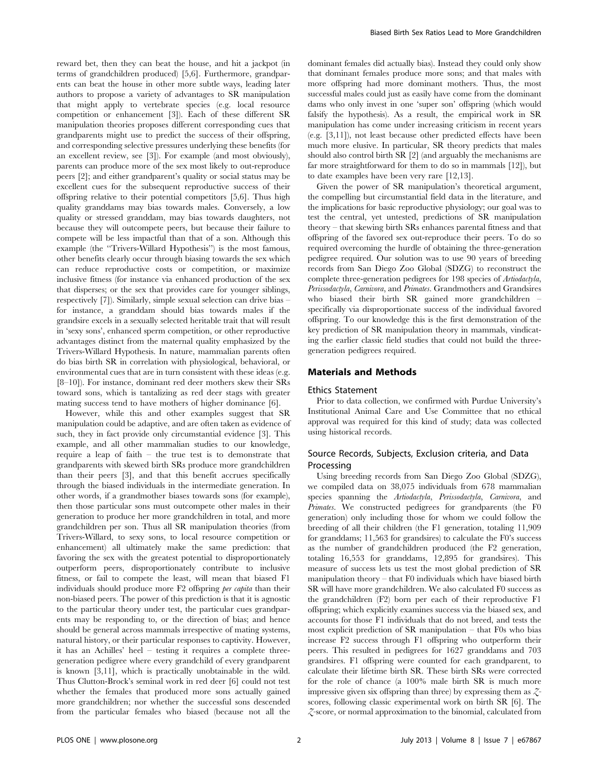reward bet, then they can beat the house, and hit a jackpot (in terms of grandchildren produced) [5,6]. Furthermore, grandparents can beat the house in other more subtle ways, leading later authors to propose a variety of advantages to SR manipulation that might apply to vertebrate species (e.g. local resource competition or enhancement [3]). Each of these different SR manipulation theories proposes different corresponding cues that grandparents might use to predict the success of their offspring, and corresponding selective pressures underlying these benefits (for an excellent review, see [3]). For example (and most obviously), parents can produce more of the sex most likely to out-reproduce peers [2]; and either grandparent's quality or social status may be excellent cues for the subsequent reproductive success of their offspring relative to their potential competitors [5,6]. Thus high quality granddams may bias towards males. Conversely, a low quality or stressed granddam, may bias towards daughters, not because they will outcompete peers, but because their failure to compete will be less impactful than that of a son. Although this example (the ''Trivers-Willard Hypothesis'') is the most famous, other benefits clearly occur through biasing towards the sex which can reduce reproductive costs or competition, or maximize inclusive fitness (for instance via enhanced production of the sex that disperses; or the sex that provides care for younger siblings, respectively [7]). Similarly, simple sexual selection can drive bias – for instance, a granddam should bias towards males if the grandsire excels in a sexually selected heritable trait that will result in 'sexy sons', enhanced sperm competition, or other reproductive advantages distinct from the maternal quality emphasized by the Trivers-Willard Hypothesis. In nature, mammalian parents often do bias birth SR in correlation with physiological, behavioral, or environmental cues that are in turn consistent with these ideas (e.g. [8–10]). For instance, dominant red deer mothers skew their SRs toward sons, which is tantalizing as red deer stags with greater mating success tend to have mothers of higher dominance [6].

However, while this and other examples suggest that SR manipulation could be adaptive, and are often taken as evidence of such, they in fact provide only circumstantial evidence [3]. This example, and all other mammalian studies to our knowledge, require a leap of faith – the true test is to demonstrate that grandparents with skewed birth SRs produce more grandchildren than their peers [3], and that this benefit accrues specifically through the biased individuals in the intermediate generation. In other words, if a grandmother biases towards sons (for example), then those particular sons must outcompete other males in their generation to produce her more grandchildren in total, and more grandchildren per son. Thus all SR manipulation theories (from Trivers-Willard, to sexy sons, to local resource competition or enhancement) all ultimately make the same prediction: that favoring the sex with the greatest potential to disproportionately outperform peers, disproportionately contribute to inclusive fitness, or fail to compete the least, will mean that biased F1 individuals should produce more F2 offspring per capita than their non-biased peers. The power of this prediction is that it is agnostic to the particular theory under test, the particular cues grandparents may be responding to, or the direction of bias; and hence should be general across mammals irrespective of mating systems, natural history, or their particular responses to captivity. However, it has an Achilles' heel – testing it requires a complete threegeneration pedigree where every grandchild of every grandparent is known [3,11], which is practically unobtainable in the wild. Thus Clutton-Brock's seminal work in red deer [6] could not test whether the females that produced more sons actually gained more grandchildren; nor whether the successful sons descended from the particular females who biased (because not all the dominant females did actually bias). Instead they could only show that dominant females produce more sons; and that males with more offspring had more dominant mothers. Thus, the most successful males could just as easily have come from the dominant dams who only invest in one 'super son' offspring (which would falsify the hypothesis). As a result, the empirical work in SR manipulation has come under increasing criticism in recent years (e.g. [3,11]), not least because other predicted effects have been much more elusive. In particular, SR theory predicts that males should also control birth SR [2] (and arguably the mechanisms are far more straightforward for them to do so in mammals [12]), but to date examples have been very rare [12,13].

Given the power of SR manipulation's theoretical argument, the compelling but circumstantial field data in the literature, and the implications for basic reproductive physiology; our goal was to test the central, yet untested, predictions of SR manipulation theory – that skewing birth SRs enhances parental fitness and that offspring of the favored sex out-reproduce their peers. To do so required overcoming the hurdle of obtaining the three-generation pedigree required. Our solution was to use 90 years of breeding records from San Diego Zoo Global (SDZG) to reconstruct the complete three-generation pedigrees for 198 species of Artiodactyla, Perissodactyla, Carnivora, and Primates. Grandmothers and Grandsires who biased their birth SR gained more grandchildren specifically via disproportionate success of the individual favored offspring. To our knowledge this is the first demonstration of the key prediction of SR manipulation theory in mammals, vindicating the earlier classic field studies that could not build the threegeneration pedigrees required.

#### Materials and Methods

#### Ethics Statement

Prior to data collection, we confirmed with Purdue University's Institutional Animal Care and Use Committee that no ethical approval was required for this kind of study; data was collected using historical records.

#### Source Records, Subjects, Exclusion criteria, and Data Processing

Using breeding records from San Diego Zoo Global (SDZG), we compiled data on 38,075 individuals from 678 mammalian species spanning the Artiodactyla, Perissodactyla, Carnivora, and Primates. We constructed pedigrees for grandparents (the F0 generation) only including those for whom we could follow the breeding of all their children (the F1 generation, totaling 11,909 for granddams; 11,563 for grandsires) to calculate the F0's success as the number of grandchildren produced (the F2 generation, totaling 16,553 for granddams, 12,895 for grandsires). This measure of success lets us test the most global prediction of SR manipulation theory – that F0 individuals which have biased birth SR will have more grandchildren. We also calculated F0 success as the grandchildren (F2) born per each of their reproductive F1 offspring; which explicitly examines success via the biased sex, and accounts for those F1 individuals that do not breed, and tests the most explicit prediction of SR manipulation – that F0s who bias increase F2 success through F1 offspring who outperform their peers. This resulted in pedigrees for 1627 granddams and 703 grandsires. F1 offspring were counted for each grandparent, to calculate their lifetime birth SR. These birth SRs were corrected for the role of chance (a 100% male birth SR is much more impressive given six offspring than three) by expressing them as  $\mathcal{Z}$ scores, following classic experimental work on birth SR [6]. The Z-score, or normal approximation to the binomial, calculated from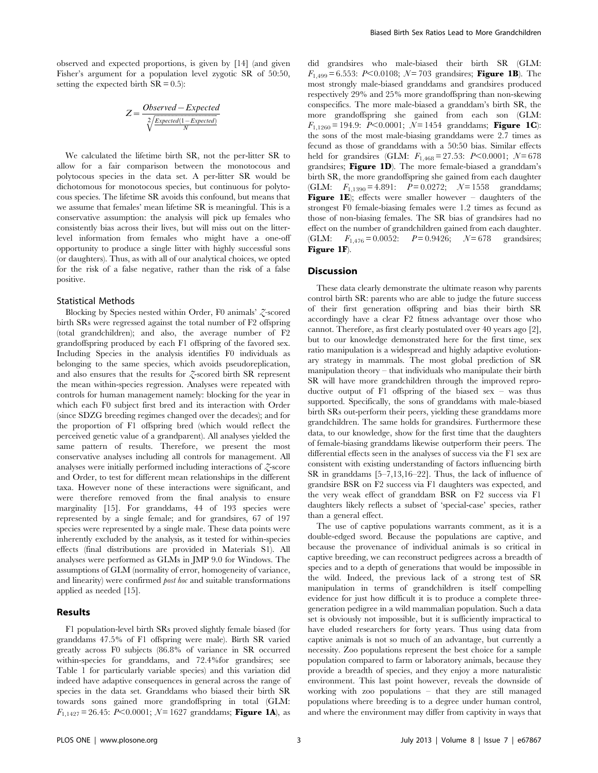observed and expected proportions, is given by [14] (and given Fisher's argument for a population level zygotic SR of 50:50, setting the expected birth  $SR = 0.5$ :

$$
Z = \frac{Observed - Expected}{\sqrt[2]{\frac{Expected(1 - Expected)}{N}}}
$$

We calculated the lifetime birth SR, not the per-litter SR to allow for a fair comparison between the monotocous and polytocous species in the data set. A per-litter SR would be dichotomous for monotocous species, but continuous for polytocous species. The lifetime SR avoids this confound, but means that we assume that females' mean lifetime SR is meaningful. This is a conservative assumption: the analysis will pick up females who consistently bias across their lives, but will miss out on the litterlevel information from females who might have a one-off opportunity to produce a single litter with highly successful sons (or daughters). Thus, as with all of our analytical choices, we opted for the risk of a false negative, rather than the risk of a false positive.

#### Statistical Methods

Blocking by Species nested within Order, F0 animals' Z-scored birth SRs were regressed against the total number of F2 offspring (total grandchildren); and also, the average number of F2 grandoffspring produced by each F1 offspring of the favored sex. Including Species in the analysis identifies F0 individuals as belonging to the same species, which avoids pseudoreplication, and also ensures that the results for Z-scored birth SR represent the mean within-species regression. Analyses were repeated with controls for human management namely: blocking for the year in which each F0 subject first bred and its interaction with Order (since SDZG breeding regimes changed over the decades); and for the proportion of F1 offspring bred (which would reflect the perceived genetic value of a grandparent). All analyses yielded the same pattern of results. Therefore, we present the most conservative analyses including all controls for management. All analyses were initially performed including interactions of Z-score and Order, to test for different mean relationships in the different taxa. However none of these interactions were significant, and were therefore removed from the final analysis to ensure marginality [15]. For granddams, 44 of 193 species were represented by a single female; and for grandsires, 67 of 197 species were represented by a single male. These data points were inherently excluded by the analysis, as it tested for within-species effects (final distributions are provided in Materials S1). All analyses were performed as GLMs in JMP 9.0 for Windows. The assumptions of GLM (normality of error, homogeneity of variance, and linearity) were confirmed post hoc and suitable transformations applied as needed [15].

#### Results

F1 population-level birth SRs proved slightly female biased (for granddams 47.5% of F1 offspring were male). Birth SR varied greatly across F0 subjects (86.8% of variance in SR occurred within-species for granddams, and 72.4%for grandsires; see Table 1 for particularly variable species) and this variation did indeed have adaptive consequences in general across the range of species in the data set. Granddams who biased their birth SR towards sons gained more grandoffspring in total (GLM:  $F_{1,1427} = 26.45$ :  $P<0.0001$ ;  $N = 1627$  granddams; **Figure 1A**), as did grandsires who male-biased their birth SR (GLM:  $F_{1,499} = 6.553$ : P<0.0108; N = 703 grandsires; **Figure 1B**). The most strongly male-biased granddams and grandsires produced respectively 29% and 25% more grandoffspring than non-skewing conspecifics. The more male-biased a granddam's birth SR, the more grandoffspring she gained from each son (GLM:  $F_{1,1260} = 194.9$ :  $P<0.0001$ ;  $N=1454$  granddams; **Figure 1C**): the sons of the most male-biasing granddams were 2.7 times as fecund as those of granddams with a 50:50 bias. Similar effects held for grandsires (GLM:  $F_{1,468} = 27.53$ :  $P \le 0.0001$ ;  $N = 678$ grandsires; Figure 1D). The more female-biased a granddam's birth SR, the more grandoffspring she gained from each daughter (GLM:  $F_{1,1390} = 4.891$ :  $P = 0.0272$ ;  $N = 1558$  granddams; Figure 1E); effects were smaller however - daughters of the strongest F0 female-biasing females were 1.2 times as fecund as those of non-biasing females. The SR bias of grandsires had no effect on the number of grandchildren gained from each daughter. (GLM:  $F_{1,476} = 0.0052$ :  $P = 0.9426$ ;  $N = 678$  grandsires; Figure 1F).

#### **Discussion**

These data clearly demonstrate the ultimate reason why parents control birth SR: parents who are able to judge the future success of their first generation offspring and bias their birth SR accordingly have a clear F2 fitness advantage over those who cannot. Therefore, as first clearly postulated over 40 years ago [2], but to our knowledge demonstrated here for the first time, sex ratio manipulation is a widespread and highly adaptive evolutionary strategy in mammals. The most global prediction of SR manipulation theory – that individuals who manipulate their birth SR will have more grandchildren through the improved reproductive output of F1 offspring of the biased sex – was thus supported. Specifically, the sons of granddams with male-biased birth SRs out-perform their peers, yielding these granddams more grandchildren. The same holds for grandsires. Furthermore these data, to our knowledge, show for the first time that the daughters of female-biasing granddams likewise outperform their peers. The differential effects seen in the analyses of success via the F1 sex are consistent with existing understanding of factors influencing birth SR in granddams [5–7,13,16–22]. Thus, the lack of influence of grandsire BSR on F2 success via F1 daughters was expected, and the very weak effect of granddam BSR on F2 success via F1 daughters likely reflects a subset of 'special-case' species, rather than a general effect.

The use of captive populations warrants comment, as it is a double-edged sword. Because the populations are captive, and because the provenance of individual animals is so critical in captive breeding, we can reconstruct pedigrees across a breadth of species and to a depth of generations that would be impossible in the wild. Indeed, the previous lack of a strong test of SR manipulation in terms of grandchildren is itself compelling evidence for just how difficult it is to produce a complete threegeneration pedigree in a wild mammalian population. Such a data set is obviously not impossible, but it is sufficiently impractical to have eluded researchers for forty years. Thus using data from captive animals is not so much of an advantage, but currently a necessity. Zoo populations represent the best choice for a sample population compared to farm or laboratory animals, because they provide a breadth of species, and they enjoy a more naturalistic environment. This last point however, reveals the downside of working with zoo populations – that they are still managed populations where breeding is to a degree under human control, and where the environment may differ from captivity in ways that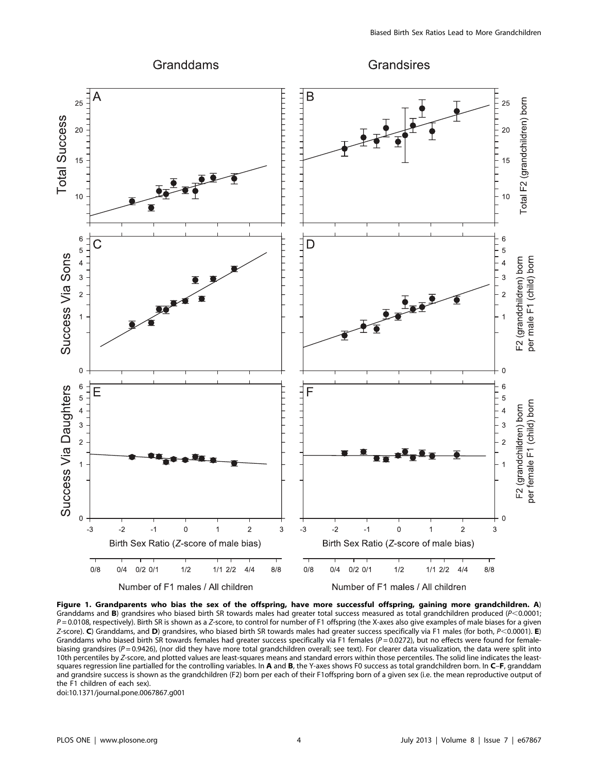

Figure 1. Grandparents who bias the sex of the offspring, have more successful offspring, gaining more grandchildren. A) Granddams and **B**) grandsires who biased birth SR towards males had greater total success measured as total grandchildren produced ( $P < 0.0001$ ; P = 0.0108, respectively). Birth SR is shown as a Z-score, to control for number of F1 offspring (the X-axes also give examples of male biases for a given Z-score). C) Granddams, and D) grandsires, who biased birth SR towards males had greater success specifically via F1 males (for both,  $P < 0.0001$ ). E) Granddams who biased birth SR towards females had greater success specifically via F1 females (P=0.0272), but no effects were found for femalebiasing grandsires ( $P = 0.9426$ ), (nor did they have more total grandchildren overall; see text). For clearer data visualization, the data were split into 10th percentiles by Z-score, and plotted values are least-squares means and standard errors within those percentiles. The solid line indicates the leastsquares regression line partialled for the controlling variables. In A and B, the Y-axes shows F0 success as total grandchildren born. In C-F, granddam and grandsire success is shown as the grandchildren (F2) born per each of their F1offspring born of a given sex (i.e. the mean reproductive output of the F1 children of each sex).

doi:10.1371/journal.pone.0067867.g001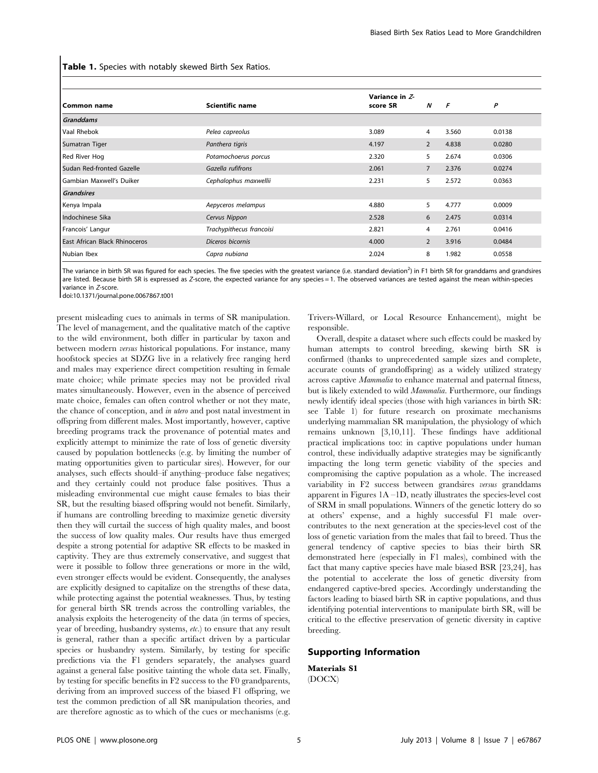Table 1. Species with notably skewed Birth Sex Ratios.

| Common name                   | <b>Scientific name</b>   | Variance in Z-<br>score SR | $\boldsymbol{\mathcal{N}}$ | $\sqrt{F}$ | P      |
|-------------------------------|--------------------------|----------------------------|----------------------------|------------|--------|
| <b>Granddams</b>              |                          |                            |                            |            |        |
| Vaal Rhebok                   | Pelea capreolus          | 3.089                      | 4                          | 3.560      | 0.0138 |
| Sumatran Tiger                | Panthera tigris          | 4.197                      | $\overline{2}$             | 4.838      | 0.0280 |
| Red River Hog                 | Potamochoerus porcus     | 2.320                      | 5                          | 2.674      | 0.0306 |
| Sudan Red-fronted Gazelle     | Gazella rufifrons        | 2.061                      | $\overline{7}$             | 2.376      | 0.0274 |
| Gambian Maxwell's Duiker      | Cephalophus maxwellii    | 2.231                      | 5                          | 2.572      | 0.0363 |
| <b>Grandsires</b>             |                          |                            |                            |            |        |
| Kenya Impala                  | Aepyceros melampus       | 4.880                      | 5                          | 4.777      | 0.0009 |
| Indochinese Sika              | Cervus Nippon            | 2.528                      | 6                          | 2.475      | 0.0314 |
| Francois' Langur              | Trachypithecus francoisi | 2.821                      | 4                          | 2.761      | 0.0416 |
| East African Black Rhinoceros | Diceros bicornis         | 4.000                      | $\overline{2}$             | 3.916      | 0.0484 |
| Nubian Ibex                   | Capra nubiana            | 2.024                      | 8                          | 1.982      | 0.0558 |

The variance in birth SR was figured for each species. The five species with the greatest variance (i.e. standard deviation<sup>2</sup>) in F1 birth SR for granddams and grandsires are listed. Because birth SR is expressed as Z-score, the expected variance for any species = 1. The observed variances are tested against the mean within-species variance in Z-score.

doi:10.1371/journal.pone.0067867.t001

present misleading cues to animals in terms of SR manipulation. The level of management, and the qualitative match of the captive to the wild environment, both differ in particular by taxon and between modern versus historical populations. For instance, many hoofstock species at SDZG live in a relatively free ranging herd and males may experience direct competition resulting in female mate choice; while primate species may not be provided rival mates simultaneously. However, even in the absence of perceived mate choice, females can often control whether or not they mate, the chance of conception, and in utero and post natal investment in offspring from different males. Most importantly, however, captive breeding programs track the provenance of potential mates and explicitly attempt to minimize the rate of loss of genetic diversity caused by population bottlenecks (e.g. by limiting the number of mating opportunities given to particular sires). However, for our analyses, such effects should–if anything–produce false negatives; and they certainly could not produce false positives. Thus a misleading environmental cue might cause females to bias their SR, but the resulting biased offspring would not benefit. Similarly, if humans are controlling breeding to maximize genetic diversity then they will curtail the success of high quality males, and boost the success of low quality males. Our results have thus emerged despite a strong potential for adaptive SR effects to be masked in captivity. They are thus extremely conservative, and suggest that were it possible to follow three generations or more in the wild, even stronger effects would be evident. Consequently, the analyses are explicitly designed to capitalize on the strengths of these data, while protecting against the potential weaknesses. Thus, by testing for general birth SR trends across the controlling variables, the analysis exploits the heterogeneity of the data (in terms of species, year of breeding, husbandry systems, etc.) to ensure that any result is general, rather than a specific artifact driven by a particular species or husbandry system. Similarly, by testing for specific predictions via the F1 genders separately, the analyses guard against a general false positive tainting the whole data set. Finally, by testing for specific benefits in F2 success to the F0 grandparents, deriving from an improved success of the biased F1 offspring, we test the common prediction of all SR manipulation theories, and are therefore agnostic as to which of the cues or mechanisms (e.g. Trivers-Willard, or Local Resource Enhancement), might be responsible.

Overall, despite a dataset where such effects could be masked by human attempts to control breeding, skewing birth SR is confirmed (thanks to unprecedented sample sizes and complete, accurate counts of grandoffspring) as a widely utilized strategy across captive Mammalia to enhance maternal and paternal fitness, but is likely extended to wild Mammalia. Furthermore, our findings newly identify ideal species (those with high variances in birth SR: see Table 1) for future research on proximate mechanisms underlying mammalian SR manipulation, the physiology of which remains unknown [3,10,11]. These findings have additional practical implications too: in captive populations under human control, these individually adaptive strategies may be significantly impacting the long term genetic viability of the species and compromising the captive population as a whole. The increased variability in F2 success between grandsires versus granddams apparent in Figures 1A –1D, neatly illustrates the species-level cost of SRM in small populations. Winners of the genetic lottery do so at others' expense, and a highly successful F1 male overcontributes to the next generation at the species-level cost of the loss of genetic variation from the males that fail to breed. Thus the general tendency of captive species to bias their birth SR demonstrated here (especially in F1 males), combined with the fact that many captive species have male biased BSR [23,24], has the potential to accelerate the loss of genetic diversity from endangered captive-bred species. Accordingly understanding the factors leading to biased birth SR in captive populations, and thus identifying potential interventions to manipulate birth SR, will be critical to the effective preservation of genetic diversity in captive breeding.

#### Supporting Information

#### Materials S1 (DOCX)